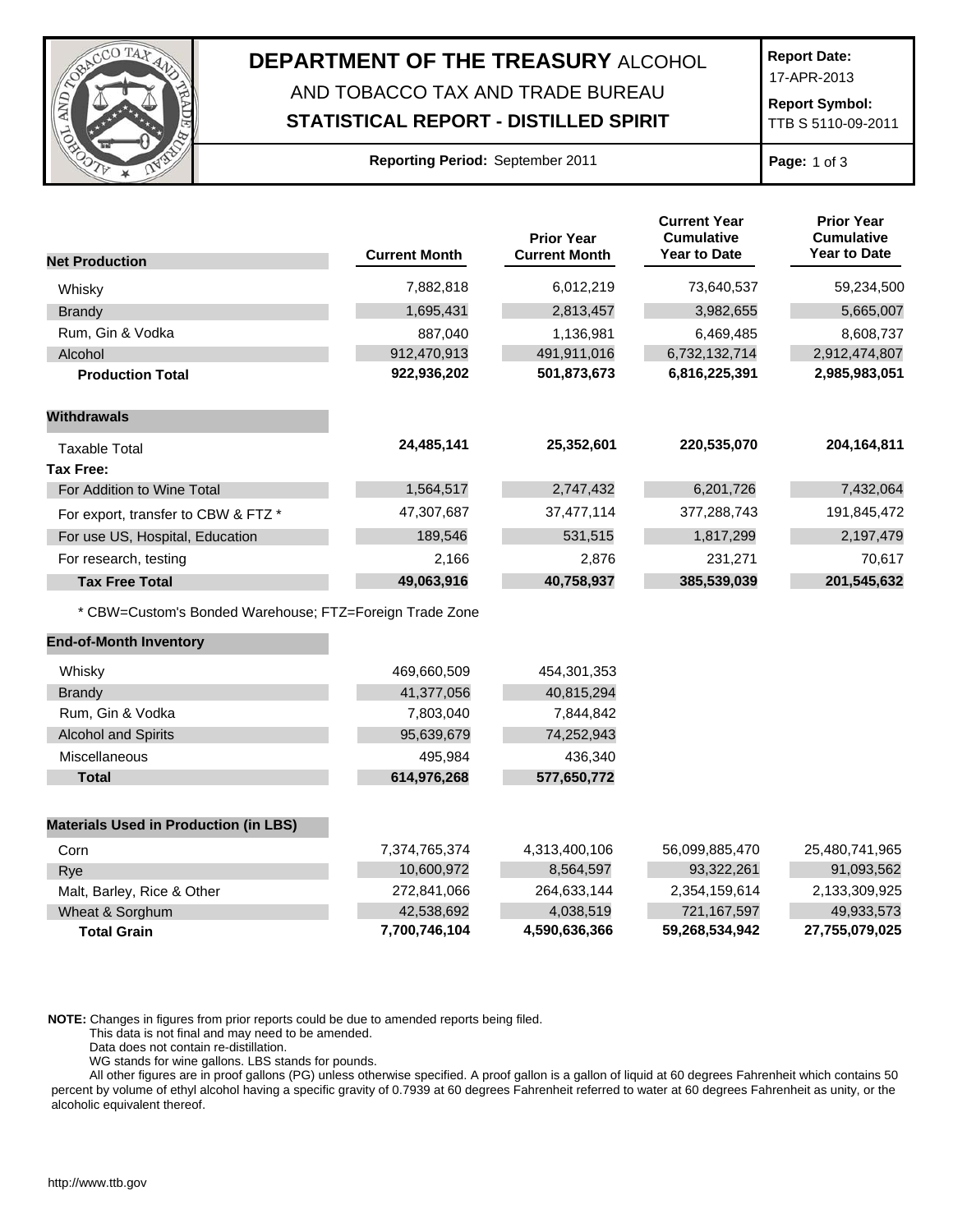

## **DEPARTMENT OF THE TREASURY** ALCOHOL AND TOBACCO TAX AND TRADE BUREAU

## **STATISTICAL REPORT - DISTILLED SPIRIT**

**Report Date:**

17-APR-2013

**Report Symbol:** TTB S 5110-09-2011

**Page:** 1 of 3

|                                                         | <b>Current Month</b> | <b>Prior Year</b><br><b>Current Month</b> | <b>Current Year</b><br><b>Cumulative</b><br>Year to Date | <b>Prior Year</b><br><b>Cumulative</b><br><b>Year to Date</b> |
|---------------------------------------------------------|----------------------|-------------------------------------------|----------------------------------------------------------|---------------------------------------------------------------|
| <b>Net Production</b>                                   |                      |                                           |                                                          |                                                               |
| Whisky                                                  | 7,882,818            | 6,012,219                                 | 73,640,537                                               | 59,234,500                                                    |
| Brandy                                                  | 1,695,431            | 2,813,457                                 | 3,982,655                                                | 5,665,007                                                     |
| Rum, Gin & Vodka                                        | 887,040              | 1,136,981                                 | 6,469,485                                                | 8,608,737                                                     |
| Alcohol                                                 | 912,470,913          | 491,911,016                               | 6,732,132,714                                            | 2,912,474,807                                                 |
| <b>Production Total</b>                                 | 922,936,202          | 501,873,673                               | 6,816,225,391                                            | 2,985,983,051                                                 |
| <b>Withdrawals</b>                                      |                      |                                           |                                                          |                                                               |
| <b>Taxable Total</b>                                    | 24,485,141           | 25,352,601                                | 220,535,070                                              | 204,164,811                                                   |
| <b>Tax Free:</b>                                        |                      |                                           |                                                          |                                                               |
| For Addition to Wine Total                              | 1,564,517            | 2,747,432                                 | 6,201,726                                                | 7,432,064                                                     |
| For export, transfer to CBW & FTZ *                     | 47,307,687           | 37,477,114                                | 377,288,743                                              | 191,845,472                                                   |
| For use US, Hospital, Education                         | 189,546              | 531,515                                   | 1,817,299                                                | 2,197,479                                                     |
| For research, testing                                   | 2,166                | 2,876                                     | 231,271                                                  | 70,617                                                        |
| <b>Tax Free Total</b>                                   | 49,063,916           | 40,758,937                                | 385,539,039                                              | 201,545,632                                                   |
| * CBW=Custom's Bonded Warehouse; FTZ=Foreign Trade Zone |                      |                                           |                                                          |                                                               |
| <b>End-of-Month Inventory</b>                           |                      |                                           |                                                          |                                                               |
| Whisky                                                  | 469,660,509          | 454,301,353                               |                                                          |                                                               |
| <b>Brandy</b>                                           | 41,377,056           | 40,815,294                                |                                                          |                                                               |
| Rum, Gin & Vodka                                        | 7,803,040            | 7,844,842                                 |                                                          |                                                               |
| <b>Alcohol and Spirits</b>                              | 95,639,679           | 74,252,943                                |                                                          |                                                               |
| Miscellaneous                                           | 495,984              | 436,340                                   |                                                          |                                                               |
| <b>Total</b>                                            | 614,976,268          | 577,650,772                               |                                                          |                                                               |
| <b>Materials Used in Production (in LBS)</b>            |                      |                                           |                                                          |                                                               |
| Corn                                                    | 7,374,765,374        | 4,313,400,106                             | 56,099,885,470                                           | 25,480,741,965                                                |
| Rye                                                     | 10,600,972           | 8,564,597                                 | 93,322,261                                               | 91,093,562                                                    |
| Malt, Barley, Rice & Other                              | 272,841,066          | 264,633,144                               | 2,354,159,614                                            | 2,133,309,925                                                 |
| Wheat & Sorghum                                         | 42,538,692           | 4,038,519                                 | 721,167,597                                              | 49,933,573                                                    |

**Total Grain 7,700,746,104 4,590,636,366 59,268,534,942 27,755,079,025**

**NOTE:** Changes in figures from prior reports could be due to amended reports being filed.

This data is not final and may need to be amended.

Data does not contain re-distillation.

WG stands for wine gallons. LBS stands for pounds.

All other figures are in proof gallons (PG) unless otherwise specified. A proof gallon is a gallon of liquid at 60 degrees Fahrenheit which contains 50 percent by volume of ethyl alcohol having a specific gravity of 0.7939 at 60 degrees Fahrenheit referred to water at 60 degrees Fahrenheit as unity, or the alcoholic equivalent thereof.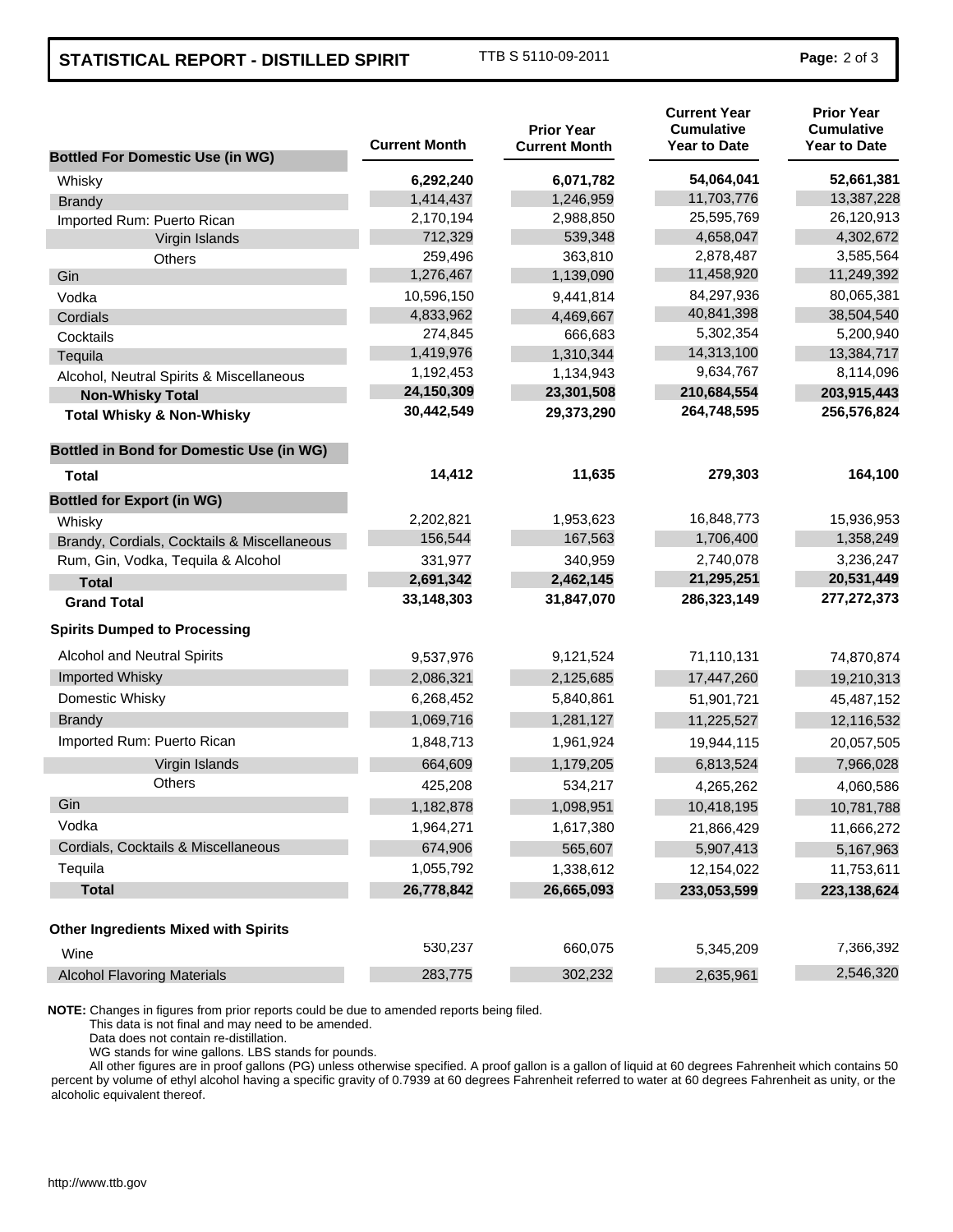## **STATISTICAL REPORT - DISTILLED SPIRIT** TTB S 5110-09-2011 **Page:** 2 of 3

| <b>Bottled For Domestic Use (in WG)</b>         | <b>Current Month</b> | <b>Prior Year</b><br><b>Current Month</b> | <b>Current Year</b><br><b>Cumulative</b><br><b>Year to Date</b> | <b>Prior Year</b><br><b>Cumulative</b><br><b>Year to Date</b> |
|-------------------------------------------------|----------------------|-------------------------------------------|-----------------------------------------------------------------|---------------------------------------------------------------|
| Whisky                                          | 6,292,240            | 6,071,782                                 | 54,064,041                                                      | 52,661,381                                                    |
| <b>Brandy</b>                                   | 1,414,437            | 1,246,959                                 | 11,703,776                                                      | 13,387,228                                                    |
| Imported Rum: Puerto Rican                      | 2,170,194            | 2,988,850                                 | 25,595,769                                                      | 26,120,913                                                    |
| Virgin Islands                                  | 712,329              | 539,348                                   | 4,658,047                                                       | 4,302,672                                                     |
| <b>Others</b>                                   | 259,496              | 363,810                                   | 2,878,487                                                       | 3,585,564                                                     |
| Gin                                             | 1,276,467            | 1,139,090                                 | 11,458,920                                                      | 11,249,392                                                    |
| Vodka                                           | 10,596,150           | 9,441,814                                 | 84,297,936                                                      | 80,065,381                                                    |
| Cordials                                        | 4,833,962            | 4,469,667                                 | 40,841,398                                                      | 38,504,540                                                    |
| Cocktails                                       | 274,845              | 666,683                                   | 5,302,354                                                       | 5,200,940                                                     |
| Tequila                                         | 1,419,976            | 1,310,344                                 | 14,313,100                                                      | 13,384,717                                                    |
| Alcohol, Neutral Spirits & Miscellaneous        | 1,192,453            | 1,134,943                                 | 9,634,767                                                       | 8,114,096                                                     |
| <b>Non-Whisky Total</b>                         | 24,150,309           | 23,301,508                                | 210,684,554                                                     | 203,915,443                                                   |
| <b>Total Whisky &amp; Non-Whisky</b>            | 30,442,549           | 29,373,290                                | 264,748,595                                                     | 256,576,824                                                   |
| <b>Bottled in Bond for Domestic Use (in WG)</b> |                      |                                           |                                                                 |                                                               |
| <b>Total</b>                                    | 14,412               | 11,635                                    | 279,303                                                         | 164,100                                                       |
| <b>Bottled for Export (in WG)</b>               |                      |                                           |                                                                 |                                                               |
| Whisky                                          | 2,202,821            | 1,953,623                                 | 16,848,773                                                      | 15,936,953                                                    |
| Brandy, Cordials, Cocktails & Miscellaneous     | 156,544              | 167,563                                   | 1,706,400                                                       | 1,358,249                                                     |
| Rum, Gin, Vodka, Tequila & Alcohol              | 331,977              | 340,959                                   | 2,740,078                                                       | 3,236,247                                                     |
| <b>Total</b>                                    | 2,691,342            | 2,462,145                                 | 21,295,251                                                      | 20,531,449                                                    |
| <b>Grand Total</b>                              | 33,148,303           | 31,847,070                                | 286,323,149                                                     | 277,272,373                                                   |
| <b>Spirits Dumped to Processing</b>             |                      |                                           |                                                                 |                                                               |
| <b>Alcohol and Neutral Spirits</b>              | 9,537,976            | 9,121,524                                 | 71,110,131                                                      | 74,870,874                                                    |
| Imported Whisky                                 | 2,086,321            | 2,125,685                                 | 17,447,260                                                      | 19,210,313                                                    |
| Domestic Whisky                                 | 6,268,452            | 5,840,861                                 | 51,901,721                                                      | 45,487,152                                                    |
| <b>Brandy</b>                                   | 1,069,716            | 1,281,127                                 | 11,225,527                                                      | 12,116,532                                                    |
| Imported Rum: Puerto Rican                      | 1,848,713            | 1,961,924                                 | 19,944,115                                                      | 20,057,505                                                    |
| Virgin Islands                                  | 664,609              | 1,179,205                                 | 6,813,524                                                       | 7,966,028                                                     |
| <b>Others</b>                                   | 425,208              | 534,217                                   | 4,265,262                                                       | 4,060,586                                                     |
| Gin                                             | 1,182,878            | 1,098,951                                 | 10,418,195                                                      | 10,781,788                                                    |
| Vodka                                           | 1,964,271            | 1,617,380                                 | 21,866,429                                                      | 11,666,272                                                    |
| Cordials, Cocktails & Miscellaneous             | 674,906              | 565,607                                   | 5,907,413                                                       | 5,167,963                                                     |
| Tequila                                         | 1,055,792            | 1,338,612                                 | 12,154,022                                                      | 11,753,611                                                    |
| <b>Total</b>                                    | 26,778,842           | 26,665,093                                | 233,053,599                                                     | 223,138,624                                                   |
| <b>Other Ingredients Mixed with Spirits</b>     |                      |                                           |                                                                 |                                                               |
| Wine                                            | 530,237              | 660,075                                   | 5,345,209                                                       | 7,366,392                                                     |
| <b>Alcohol Flavoring Materials</b>              | 283,775              | 302,232                                   | 2,635,961                                                       | 2,546,320                                                     |

**NOTE:** Changes in figures from prior reports could be due to amended reports being filed.

This data is not final and may need to be amended.

Data does not contain re-distillation.

WG stands for wine gallons. LBS stands for pounds.

All other figures are in proof gallons (PG) unless otherwise specified. A proof gallon is a gallon of liquid at 60 degrees Fahrenheit which contains 50 percent by volume of ethyl alcohol having a specific gravity of 0.7939 at 60 degrees Fahrenheit referred to water at 60 degrees Fahrenheit as unity, or the alcoholic equivalent thereof.